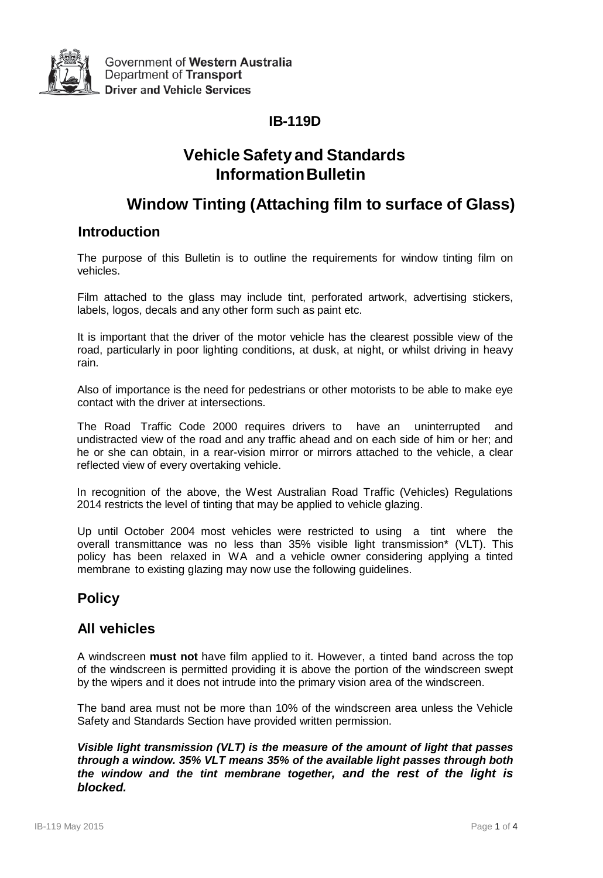

## **IB-119D**

# **Vehicle Safety and Standards InformationBulletin**

# **Window Tinting (Attaching film to surface of Glass)**

## **Introduction**

The purpose of this Bulletin is to outline the requirements for window tinting film on vehicles.

Film attached to the glass may include tint, perforated artwork, advertising stickers, labels, logos, decals and any other form such as paint etc.

It is important that the driver of the motor vehicle has the clearest possible view of the road, particularly in poor lighting conditions, at dusk, at night, or whilst driving in heavy rain.

Also of importance is the need for pedestrians or other motorists to be able to make eye contact with the driver at intersections.

The Road Traffic Code 2000 requires drivers to have an uninterrupted and undistracted view of the road and any traffic ahead and on each side of him or her; and he or she can obtain, in a rear-vision mirror or mirrors attached to the vehicle, a clear reflected view of every overtaking vehicle.

In recognition of the above, the West Australian Road Traffic (Vehicles) Regulations 2014 restricts the level of tinting that may be applied to vehicle glazing.

Up until October 2004 most vehicles were restricted to using a tint where the overall transmittance was no less than 35% visible light transmission\* (VLT). This policy has been relaxed in WA and a vehicle owner considering applying a tinted membrane to existing glazing may now use the following guidelines.

## **Policy**

## **All vehicles**

A windscreen **must not** have film applied to it. However, a tinted band across the top of the windscreen is permitted providing it is above the portion of the windscreen swept by the wipers and it does not intrude into the primary vision area of the windscreen.

The band area must not be more than 10% of the windscreen area unless the Vehicle Safety and Standards Section have provided written permission.

*Visible light transmission (VLT) is the measure of the amount of light that passes through a window. 35% VLT means 35% of the available light passes through both the window and the tint membrane together, and the rest of the light is blocked.*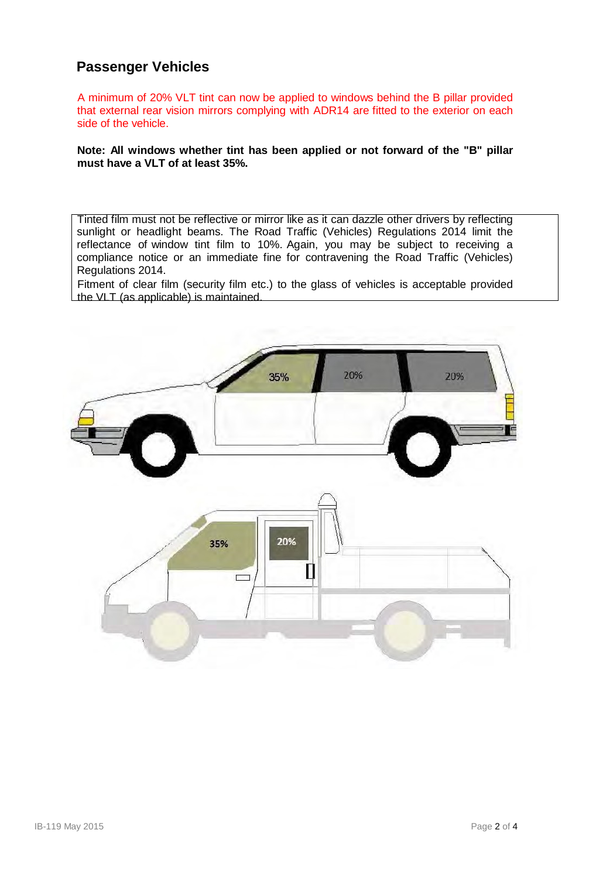## **Passenger Vehicles**

A minimum of 20% VLT tint can now be applied to windows behind the B pillar provided that external rear vision mirrors complying with ADR14 are fitted to the exterior on each side of the vehicle.

#### **Note: All windows whether tint has been applied or not forward of the "B" pillar must have a VLT of at least 35%.**

Tinted film must not be reflective or mirror like as it can dazzle other drivers by reflecting sunlight or headlight beams. The Road Traffic (Vehicles) Regulations 2014 limit the reflectance of window tint film to 10%. Again, you may be subject to receiving a compliance notice or an immediate fine for contravening the Road Traffic (Vehicles) Regulations 2014.

Fitment of clear film (security film etc.) to the glass of vehicles is acceptable provided the VLT (as applicable) is maintained.

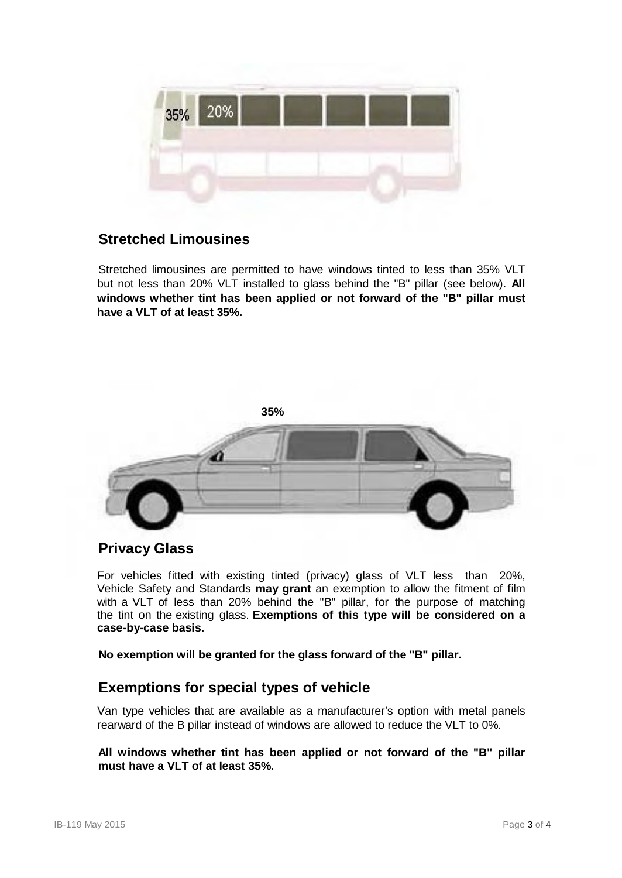

## **Stretched Limousines**

Stretched limousines are permitted to have windows tinted to less than 35% VLT but not less than 20% VLT installed to glass behind the "B" pillar (see below). **All windows whether tint has been applied or not forward of the "B" pillar must have a VLT of at least 35%.**



### **Privacy Glass**

For vehicles fitted with existing tinted (privacy) glass of VLT less than 20%, Vehicle Safety and Standards **may grant** an exemption to allow the fitment of film with a VLT of less than 20% behind the "B" pillar, for the purpose of matching the tint on the existing glass. **Exemptions of this type will be considered on a case-by-case basis.**

**No exemption will be granted for the glass forward of the "B" pillar.**

## **Exemptions for special types of vehicle**

Van type vehicles that are available as a manufacturer's option with metal panels rearward of the B pillar instead of windows are allowed to reduce the VLT to 0%.

#### **All windows whether tint has been applied or not forward of the "B" pillar must have a VLT of at least 35%.**